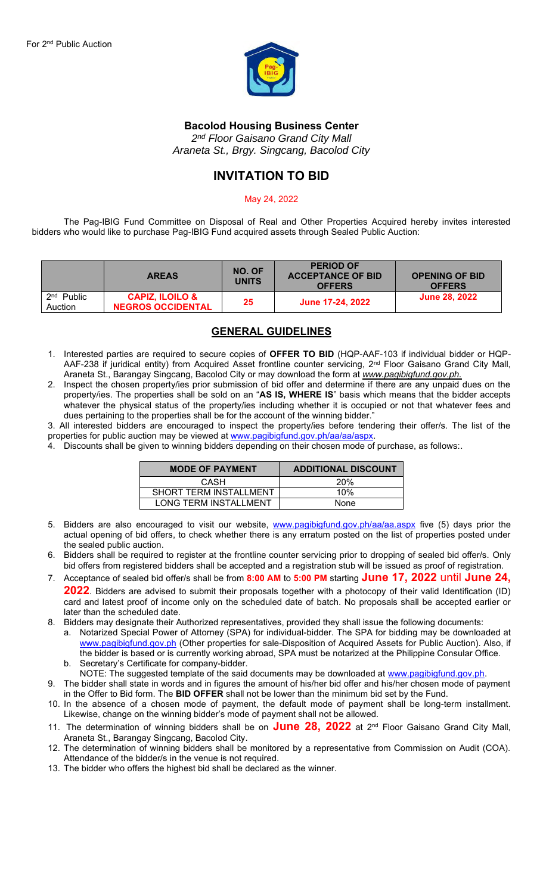

### **Bacolod Housing Business Center**

*2 nd Floor Gaisano Grand City Mall Araneta St., Brgy. Singcang, Bacolod City*

## **INVITATION TO BID**

#### May 24, 2022

The Pag-IBIG Fund Committee on Disposal of Real and Other Properties Acquired hereby invites interested bidders who would like to purchase Pag-IBIG Fund acquired assets through Sealed Public Auction:

|                         | <b>AREAS</b>                                           | NO. OF<br><b>UNITS</b> | <b>PERIOD OF</b><br><b>ACCEPTANCE OF BID</b><br><b>OFFERS</b> | <b>OPENING OF BID</b><br><b>OFFERS</b> |
|-------------------------|--------------------------------------------------------|------------------------|---------------------------------------------------------------|----------------------------------------|
| $2nd$ Public<br>Auction | <b>CAPIZ, ILOILO &amp;</b><br><b>NEGROS OCCIDENTAL</b> | 25                     | June 17-24, 2022                                              | <b>June 28, 2022</b>                   |

## **GENERAL GUIDELINES**

- 1. Interested parties are required to secure copies of **OFFER TO BID** (HQP-AAF-103 if individual bidder or HQP-AAF-238 if juridical entity) from Acquired Asset frontline counter servicing, 2<sup>nd</sup> Floor Gaisano Grand City Mall, Araneta St., Barangay Singcang, Bacolod City or may download the form at *www.pagibigfund.gov.ph.*
- 2. Inspect the chosen property/ies prior submission of bid offer and determine if there are any unpaid dues on the property/ies. The properties shall be sold on an "**AS IS, WHERE IS**" basis which means that the bidder accepts whatever the physical status of the property/ies including whether it is occupied or not that whatever fees and dues pertaining to the properties shall be for the account of the winning bidder.'

3. All interested bidders are encouraged to inspect the property/ies before tendering their offer/s. The list of the properties for public auction may be viewed at [www.pagibigfund.gov.ph/aa/aa/aspx.](http://www.pagibigfund.gov.ph/aa/aa/aspx)

4. Discounts shall be given to winning bidders depending on their chosen mode of purchase, as follows:.

| <b>MODE OF PAYMENT</b>       | <b>ADDITIONAL DISCOUNT</b> |  |  |  |  |  |
|------------------------------|----------------------------|--|--|--|--|--|
| CASH                         | <b>20%</b>                 |  |  |  |  |  |
| SHORT TERM INSTALLMENT       | 10%                        |  |  |  |  |  |
| <b>LONG TERM INSTALLMENT</b> | None                       |  |  |  |  |  |

- 5. Bidders are also encouraged to visit our website, [www.pagibigfund.gov.ph/aa/aa.aspx](http://www.pagibigfund.gov.ph/aa/aa.aspx) five (5) days prior the actual opening of bid offers, to check whether there is any erratum posted on the list of properties posted under the sealed public auction.
- 6. Bidders shall be required to register at the frontline counter servicing prior to dropping of sealed bid offer/s. Only bid offers from registered bidders shall be accepted and a registration stub will be issued as proof of registration.
- 7. Acceptance of sealed bid offer/s shall be from **8:00 AM** to **5:00 PM** starting **June 17, 2022** until **June 24, 2022**. Bidders are advised to submit their proposals together with a photocopy of their valid Identification (ID)
- card and latest proof of income only on the scheduled date of batch. No proposals shall be accepted earlier or later than the scheduled date.
- 8. Bidders may designate their Authorized representatives, provided they shall issue the following documents: a. Notarized Special Power of Attorney (SPA) for individual-bidder. The SPA for bidding may be downloaded at [www.pagibigfund.gov.ph](http://www.pagibigfund.gov.ph/) (Other properties for sale-Disposition of Acquired Assets for Public Auction). Also, if the bidder is based or is currently working abroad, SPA must be notarized at the Philippine Consular Office.
	- b. Secretary's Certificate for company-bidder.
	- NOTE: The suggested template of the said documents may be downloaded at [www.pagibigfund.gov.ph.](http://www.pagibigfund.gov.ph/)
- 9. The bidder shall state in words and in figures the amount of his/her bid offer and his/her chosen mode of payment in the Offer to Bid form. The **BID OFFER** shall not be lower than the minimum bid set by the Fund.
- 10. In the absence of a chosen mode of payment, the default mode of payment shall be long-term installment. Likewise, change on the winning bidder's mode of payment shall not be allowed.
- 11. The determination of winning bidders shall be on **June 28, 2022** at 2 nd Floor Gaisano Grand City Mall, Araneta St., Barangay Singcang, Bacolod City.
- 12. The determination of winning bidders shall be monitored by a representative from Commission on Audit (COA). Attendance of the bidder/s in the venue is not required.
- 13. The bidder who offers the highest bid shall be declared as the winner.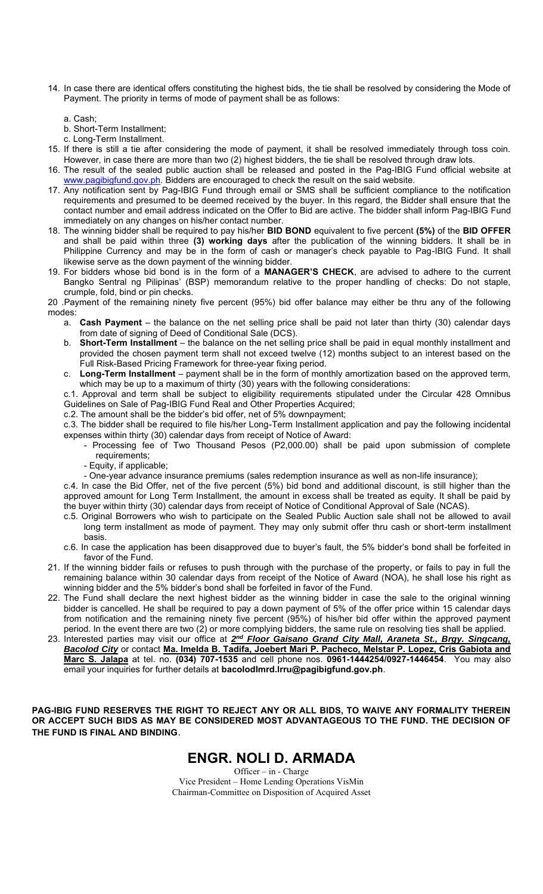- 14. In case there are identical offers constituting the highest bids, the tie shall be resolved by considering the Mode of Payment. The priority in terms of mode of payment shall be as follows:
	- a. Cash;
	- b. Short-Term Installment;
	- c. Long-Term Installment.
- 15. If there is still a tie after considering the mode of payment, it shall be resolved immediately through toss coin. However, in case there are more than two (2) highest bidders, the tie shall be resolved through draw lots.
- 16. The result of the sealed public auction shall be released and posted in the Pag-IBIG Fund official website at [www.pagibigfund.gov.ph.](http://www.pagibigfund.gov.ph/) Bidders are encouraged to check the result on the said website.
- 17. Any notification sent by Pag-IBIG Fund through email or SMS shall be sufficient compliance to the notification requirements and presumed to be deemed received by the buyer. In this regard, the Bidder shall ensure that the contact number and email address indicated on the Offer to Bid are active. The bidder shall inform Pag-IBIG Fund immediately on any changes on his/her contact number.
- 18. The winning bidder shall be required to pay his/her **BID BOND** equivalent to five percent **(5%)** of the **BID OFFER** and shall be paid within three **(3) working days** after the publication of the winning bidders. It shall be in Philippine Currency and may be in the form of cash or manager's check payable to Pag-IBIG Fund. It shall likewise serve as the down payment of the winning bidder.
- 19. For bidders whose bid bond is in the form of a **MANAGER'S CHECK**, are advised to adhere to the current Bangko Sentral ng Pilipinas' (BSP) memorandum relative to the proper handling of checks: Do not staple, crumple, fold, bind or pin checks.
- 20 .Payment of the remaining ninety five percent (95%) bid offer balance may either be thru any of the following modes:
	- a. **Cash Payment**  the balance on the net selling price shall be paid not later than thirty (30) calendar days from date of signing of Deed of Conditional Sale (DCS).
	- b. **Short-Term Installment**  the balance on the net selling price shall be paid in equal monthly installment and provided the chosen payment term shall not exceed twelve (12) months subject to an interest based on the Full Risk-Based Pricing Framework for three-year fixing period.
	- c. **Long-Term Installment**  payment shall be in the form of monthly amortization based on the approved term, which may be up to a maximum of thirty (30) years with the following considerations:
	- c.1. Approval and term shall be subject to eligibility requirements stipulated under the Circular 428 Omnibus Guidelines on Sale of Pag-IBIG Fund Real and Other Properties Acquired;
	- c.2. The amount shall be the bidder's bid offer, net of 5% downpayment;

c.3. The bidder shall be required to file his/her Long-Term Installment application and pay the following incidental expenses within thirty (30) calendar days from receipt of Notice of Award:

- Processing fee of Two Thousand Pesos (P2,000.00) shall be paid upon submission of complete requirements;
- Equity, if applicable;
- One-year advance insurance premiums (sales redemption insurance as well as non-life insurance);

c.4. In case the Bid Offer, net of the five percent (5%) bid bond and additional discount, is still higher than the approved amount for Long Term Installment, the amount in excess shall be treated as equity. It shall be paid by the buyer within thirty (30) calendar days from receipt of Notice of Conditional Approval of Sale (NCAS).

- c.5. Original Borrowers who wish to participate on the Sealed Public Auction sale shall not be allowed to avail long term installment as mode of payment. They may only submit offer thru cash or short-term installment basis.
- c.6. In case the application has been disapproved due to buyer's fault, the 5% bidder's bond shall be forfeited in favor of the Fund.
- 21. If the winning bidder fails or refuses to push through with the purchase of the property, or fails to pay in full the remaining balance within 30 calendar days from receipt of the Notice of Award (NOA), he shall lose his right as winning bidder and the 5% bidder's bond shall be forfeited in favor of the Fund.
- 22. The Fund shall declare the next highest bidder as the winning bidder in case the sale to the original winning bidder is cancelled. He shall be required to pay a down payment of 5% of the offer price within 15 calendar days from notification and the remaining ninety five percent (95%) of his/her bid offer within the approved payment period. In the event there are two (2) or more complying bidders, the same rule on resolving ties shall be applied.
- 23. Interested parties may visit our office at 2<sup>nd</sup> Floor Gaisano Grand City Mall, Araneta St., Brgy. Singcang, *Bacolod City* or contact **Ma. Imelda B. Tadifa, Joebert Mari P. Pacheco, Melstar P. Lopez, Cris Gabiota and Marc S. Jalapa** at tel. no. **(034) 707-1535** and cell phone nos. **0961-1444254/0927-1446454**. You may also email your inquiries for further details at **bacolodlmrd.lrru@pagibigfund.gov.ph**.

**PAG-IBIG FUND RESERVES THE RIGHT TO REJECT ANY OR ALL BIDS, TO WAIVE ANY FORMALITY THEREIN OR ACCEPT SUCH BIDS AS MAY BE CONSIDERED MOST ADVANTAGEOUS TO THE FUND. THE DECISION OF THE FUND IS FINAL AND BINDING**.

# **ENGR. NOLI D. ARMADA**

Officer – in - Charge Vice President – Home Lending Operations VisMin Chairman-Committee on Disposition of Acquired Asset